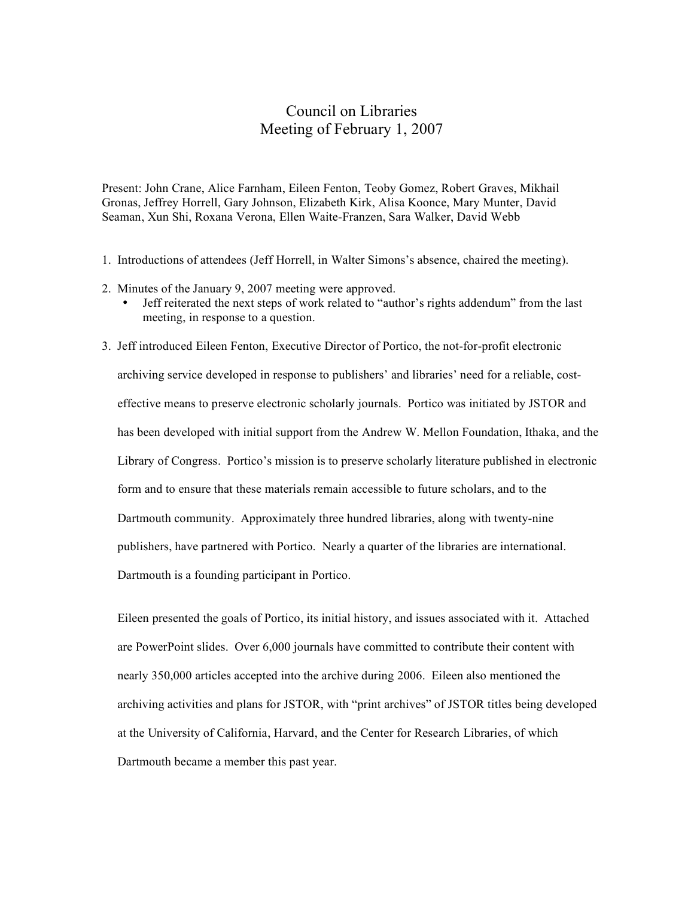## Council on Libraries Meeting of February 1, 2007

Present: John Crane, Alice Farnham, Eileen Fenton, Teoby Gomez, Robert Graves, Mikhail Gronas, Jeffrey Horrell, Gary Johnson, Elizabeth Kirk, Alisa Koonce, Mary Munter, David Seaman, Xun Shi, Roxana Verona, Ellen Waite-Franzen, Sara Walker, David Webb

- 1. Introductions of attendees (Jeff Horrell, in Walter Simons's absence, chaired the meeting).
- 2. Minutes of the January 9, 2007 meeting were approved.
	- Jeff reiterated the next steps of work related to "author's rights addendum" from the last meeting, in response to a question.
- 3. Jeff introduced Eileen Fenton, Executive Director of Portico, the not-for-profit electronic archiving service developed in response to publishers' and libraries' need for a reliable, costeffective means to preserve electronic scholarly journals. Portico was initiated by JSTOR and has been developed with initial support from the Andrew W. Mellon Foundation, Ithaka, and the Library of Congress. Portico's mission is to preserve scholarly literature published in electronic form and to ensure that these materials remain accessible to future scholars, and to the Dartmouth community. Approximately three hundred libraries, along with twenty-nine publishers, have partnered with Portico. Nearly a quarter of the libraries are international. Dartmouth is a founding participant in Portico.

Eileen presented the goals of Portico, its initial history, and issues associated with it. Attached are PowerPoint slides. Over 6,000 journals have committed to contribute their content with nearly 350,000 articles accepted into the archive during 2006. Eileen also mentioned the archiving activities and plans for JSTOR, with "print archives" of JSTOR titles being developed at the University of California, Harvard, and the Center for Research Libraries, of which Dartmouth became a member this past year.